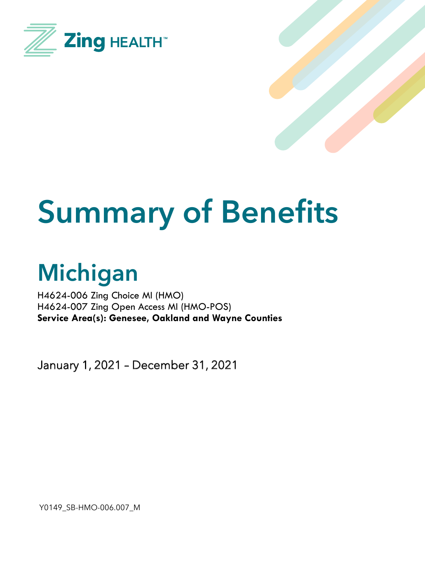



# **Summary of Benefits**

# **Michigan**

H4624-006 Zing Choice MI (HMO) H4624-007 Zing Open Access MI (HMO-POS) **Service Area(s): Genesee, Oakland and Wayne Counties**

January 1, 2021 – December 31, 2021

Y0149\_SB-HMO-006.007\_M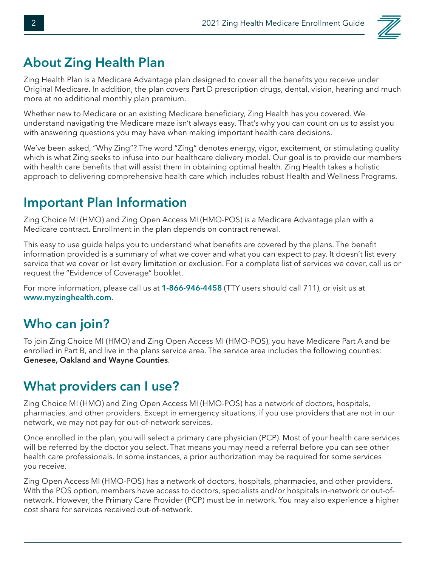

### **About Zing Health Plan**

Zing Health Plan is a Medicare Advantage plan designed to cover all the benefits you receive under Original Medicare. In addition, the plan covers Part D prescription drugs, dental, vision, hearing and much more at no additional monthly plan premium.

Whether new to Medicare or an existing Medicare beneficiary, Zing Health has you covered. We understand navigating the Medicare maze isn't always easy. That's why you can count on us to assist you with answering questions you may have when making important health care decisions.

We've been asked, "Why Zing"? The word "Zing" denotes energy, vigor, excitement, or stimulating quality which is what Zing seeks to infuse into our healthcare delivery model. Our goal is to provide our members with health care benefits that will assist them in obtaining optimal health. Zing Health takes a holistic approach to delivering comprehensive health care which includes robust Health and Wellness Programs.

#### **Important Plan Information**

Zing Choice MI (HMO) and Zing Open Access MI (HMO-POS) is a Medicare Advantage plan with a Medicare contract. Enrollment in the plan depends on contract renewal.

This easy to use guide helps you to understand what benefits are covered by the plans. The benefit information provided is a summary of what we cover and what you can expect to pay. It doesn't list every service that we cover or list every limitation or exclusion. For a complete list of services we cover, call us or request the "Evidence of Coverage" booklet.

For more information, please call us at **1-866-946-4458** (TTY users should call 711), or visit us at **www.myzinghealth.com**.

#### **Who can join?**

To join Zing Choice MI (HMO) and Zing Open Access MI (HMO-POS), you have Medicare Part A and be enrolled in Part B, and live in the plans service area. The service area includes the following counties: **Genesee, Oakland and Wayne Counties**.

#### **What providers can I use?**

Zing Choice MI (HMO) and Zing Open Access MI (HMO-POS) has a network of doctors, hospitals, pharmacies, and other providers. Except in emergency situations, if you use providers that are not in our network, we may not pay for out-of-network services.

Once enrolled in the plan, you will select a primary care physician (PCP). Most of your health care services will be referred by the doctor you select. That means you may need a referral before you can see other health care professionals. In some instances, a prior authorization may be required for some services you receive.

Zing Open Access MI (HMO-POS) has a network of doctors, hospitals, pharmacies, and other providers. With the POS option, members have access to doctors, specialists and/or hospitals in-network or out-ofnetwork. However, the Primary Care Provider (PCP) must be in network. You may also experience a higher cost share for services received out-of-network.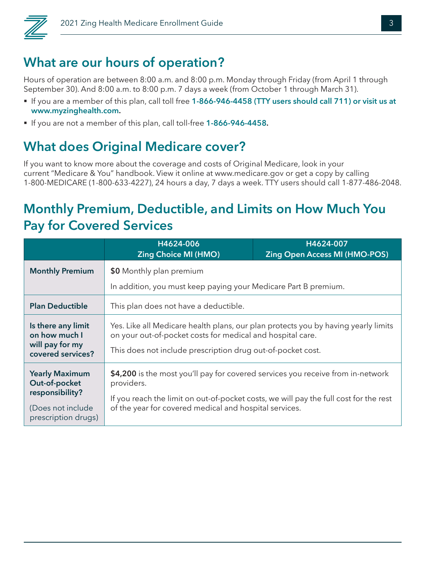

# **What are our hours of operation?**

Hours of operation are between 8:00 a.m. and 8:00 p.m. Monday through Friday (from April 1 through September 30). And 8:00 a.m. to 8:00 p.m. 7 days a week (from October 1 through March 31).

- § If you are a member of this plan, call toll free **1-866-946-4458 (TTY users should call 711) or visit us at www.myzinghealth.com.**
- § If you are not a member of this plan, call toll-free **1-866-946-4458.**

### **What does Original Medicare cover?**

If you want to know more about the coverage and costs of Original Medicare, look in your current "Medicare & You" handbook. View it online at www.medicare.gov or get a copy by calling 1-800-MEDICARE (1-800-633-4227), 24 hours a day, 7 days a week. TTY users should call 1-877-486-2048.

#### **Monthly Premium, Deductible, and Limits on How Much You Pay for Covered Services**

|                                                                                                       | H4624-006<br><b>Zing Choice MI (HMO)</b>                                                                                                                                                                                                         | H4624-007<br><b>Zing Open Access MI (HMO-POS)</b> |
|-------------------------------------------------------------------------------------------------------|--------------------------------------------------------------------------------------------------------------------------------------------------------------------------------------------------------------------------------------------------|---------------------------------------------------|
| <b>Monthly Premium</b>                                                                                | \$0 Monthly plan premium                                                                                                                                                                                                                         |                                                   |
|                                                                                                       | In addition, you must keep paying your Medicare Part B premium.                                                                                                                                                                                  |                                                   |
| <b>Plan Deductible</b>                                                                                | This plan does not have a deductible.                                                                                                                                                                                                            |                                                   |
| Is there any limit<br>on how much I<br>will pay for my<br>covered services?                           | Yes. Like all Medicare health plans, our plan protects you by having yearly limits<br>on your out-of-pocket costs for medical and hospital care.<br>This does not include prescription drug out-of-pocket cost.                                  |                                                   |
| <b>Yearly Maximum</b><br>Out-of-pocket<br>responsibility?<br>(Does not include<br>prescription drugs) | \$4,200 is the most you'll pay for covered services you receive from in-network<br>providers.<br>If you reach the limit on out-of-pocket costs, we will pay the full cost for the rest<br>of the year for covered medical and hospital services. |                                                   |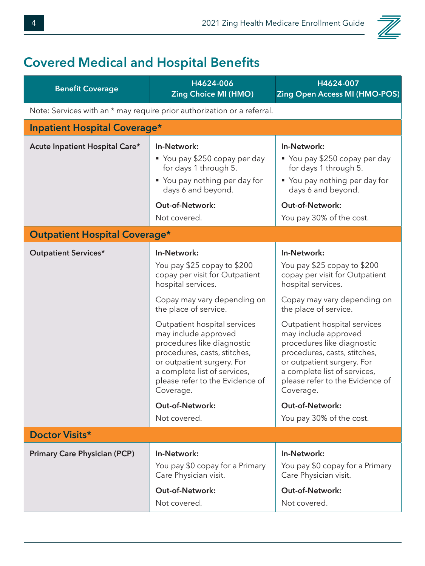## **Covered Medical and Hospital Benefits**

| <b>Benefit Coverage</b>                                                 | H4624-006<br><b>Zing Choice MI (HMO)</b>                                                                                                                                                                                                                                                                                                                                                                                                 | H4624-007<br><b>Zing Open Access MI (HMO-POS)</b>                                                                                                                                                                                                                                                                                                                                                                                                    |  |
|-------------------------------------------------------------------------|------------------------------------------------------------------------------------------------------------------------------------------------------------------------------------------------------------------------------------------------------------------------------------------------------------------------------------------------------------------------------------------------------------------------------------------|------------------------------------------------------------------------------------------------------------------------------------------------------------------------------------------------------------------------------------------------------------------------------------------------------------------------------------------------------------------------------------------------------------------------------------------------------|--|
| Note: Services with an * may require prior authorization or a referral. |                                                                                                                                                                                                                                                                                                                                                                                                                                          |                                                                                                                                                                                                                                                                                                                                                                                                                                                      |  |
| <b>Inpatient Hospital Coverage*</b>                                     |                                                                                                                                                                                                                                                                                                                                                                                                                                          |                                                                                                                                                                                                                                                                                                                                                                                                                                                      |  |
| Acute Inpatient Hospital Care*                                          | In-Network:<br>• You pay \$250 copay per day<br>for days 1 through 5.<br>" You pay nothing per day for<br>days 6 and beyond.<br><b>Out-of-Network:</b><br>Not covered.                                                                                                                                                                                                                                                                   | In-Network:<br>■ You pay \$250 copay per day<br>for days 1 through 5.<br>■ You pay nothing per day for<br>days 6 and beyond.<br><b>Out-of-Network:</b><br>You pay 30% of the cost.                                                                                                                                                                                                                                                                   |  |
| <b>Outpatient Hospital Coverage*</b>                                    |                                                                                                                                                                                                                                                                                                                                                                                                                                          |                                                                                                                                                                                                                                                                                                                                                                                                                                                      |  |
| <b>Outpatient Services*</b>                                             | In-Network:<br>You pay \$25 copay to \$200<br>copay per visit for Outpatient<br>hospital services.<br>Copay may vary depending on<br>the place of service.<br>Outpatient hospital services<br>may include approved<br>procedures like diagnostic<br>procedures, casts, stitches,<br>or outpatient surgery. For<br>a complete list of services,<br>please refer to the Evidence of<br>Coverage.<br><b>Out-of-Network:</b><br>Not covered. | In-Network:<br>You pay \$25 copay to \$200<br>copay per visit for Outpatient<br>hospital services.<br>Copay may vary depending on<br>the place of service.<br>Outpatient hospital services<br>may include approved<br>procedures like diagnostic<br>procedures, casts, stitches,<br>or outpatient surgery. For<br>a complete list of services,<br>please refer to the Evidence of<br>Coverage.<br><b>Out-of-Network:</b><br>You pay 30% of the cost. |  |
| Doctor Visits*                                                          |                                                                                                                                                                                                                                                                                                                                                                                                                                          |                                                                                                                                                                                                                                                                                                                                                                                                                                                      |  |
| <b>Primary Care Physician (PCP)</b>                                     | In-Network:<br>You pay \$0 copay for a Primary<br>Care Physician visit.<br><b>Out-of-Network:</b><br>Not covered.                                                                                                                                                                                                                                                                                                                        | In-Network:<br>You pay \$0 copay for a Primary<br>Care Physician visit.<br><b>Out-of-Network:</b><br>Not covered.                                                                                                                                                                                                                                                                                                                                    |  |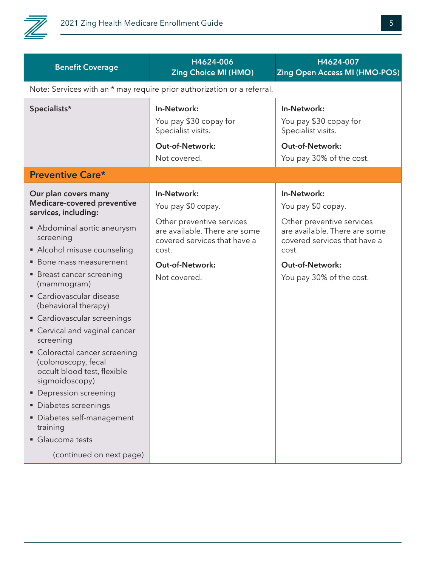

| <b>Benefit Coverage</b>                                                                                                                                                                                                                                                                                                                                                                                                     | H4624-006<br><b>Zing Choice MI (HMO)</b>                                                                                                                           | H4624-007<br><b>Zing Open Access MI (HMO-POS)</b>                                                                                                                  |  |  |
|-----------------------------------------------------------------------------------------------------------------------------------------------------------------------------------------------------------------------------------------------------------------------------------------------------------------------------------------------------------------------------------------------------------------------------|--------------------------------------------------------------------------------------------------------------------------------------------------------------------|--------------------------------------------------------------------------------------------------------------------------------------------------------------------|--|--|
| Note: Services with an * may require prior authorization or a referral.                                                                                                                                                                                                                                                                                                                                                     |                                                                                                                                                                    |                                                                                                                                                                    |  |  |
| Specialists*                                                                                                                                                                                                                                                                                                                                                                                                                | In-Network:<br>You pay \$30 copay for<br>Specialist visits.<br>Out-of-Network:<br>Not covered.                                                                     | In-Network:<br>You pay \$30 copay for<br>Specialist visits.<br>Out-of-Network:<br>You pay 30% of the cost.                                                         |  |  |
| <b>Preventive Care*</b>                                                                                                                                                                                                                                                                                                                                                                                                     |                                                                                                                                                                    |                                                                                                                                                                    |  |  |
| Our plan covers many<br>Medicare-covered preventive<br>services, including:<br>Abdominal aortic aneurysm<br>screening<br>• Alcohol misuse counseling<br>• Bone mass measurement                                                                                                                                                                                                                                             | In-Network:<br>You pay \$0 copay.<br>Other preventive services<br>are available. There are some<br>covered services that have a<br>cost.<br><b>Out-of-Network:</b> | In-Network:<br>You pay \$0 copay.<br>Other preventive services<br>are available. There are some<br>covered services that have a<br>cost.<br><b>Out-of-Network:</b> |  |  |
| • Breast cancer screening<br>(mammogram)<br>• Cardiovascular disease<br>(behavioral therapy)<br>• Cardiovascular screenings<br>• Cervical and vaginal cancer<br>screening<br>• Colorectal cancer screening<br>(colonoscopy, fecal<br>occult blood test, flexible<br>sigmoidoscopy)<br>• Depression screening<br>• Diabetes screenings<br>Diabetes self-management<br>training<br>Glaucoma tests<br>(continued on next page) | Not covered.                                                                                                                                                       | You pay 30% of the cost.                                                                                                                                           |  |  |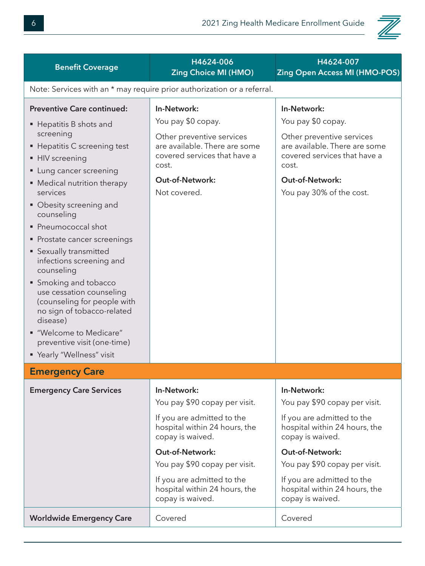

| <b>Benefit Coverage</b>                                                                                                                                                                                                                                                                                                                                                                                                                                                                                                                                                                     | H4624-006<br><b>Zing Choice MI (HMO)</b>                                                                                                                                                                                                                                      | H4624-007<br><b>Zing Open Access MI (HMO-POS)</b>                                                                                                                                                                                                                      |  |
|---------------------------------------------------------------------------------------------------------------------------------------------------------------------------------------------------------------------------------------------------------------------------------------------------------------------------------------------------------------------------------------------------------------------------------------------------------------------------------------------------------------------------------------------------------------------------------------------|-------------------------------------------------------------------------------------------------------------------------------------------------------------------------------------------------------------------------------------------------------------------------------|------------------------------------------------------------------------------------------------------------------------------------------------------------------------------------------------------------------------------------------------------------------------|--|
| Note: Services with an * may require prior authorization or a referral.                                                                                                                                                                                                                                                                                                                                                                                                                                                                                                                     |                                                                                                                                                                                                                                                                               |                                                                                                                                                                                                                                                                        |  |
| <b>Preventive Care continued:</b><br>■ Hepatitis B shots and<br>screening<br>■ Hepatitis C screening test<br>• HIV screening<br>• Lung cancer screening<br>• Medical nutrition therapy<br>services<br>• Obesity screening and<br>counseling<br>• Pneumococcal shot<br>• Prostate cancer screenings<br>• Sexually transmitted<br>infections screening and<br>counseling<br>• Smoking and tobacco<br>use cessation counseling<br>(counseling for people with<br>no sign of tobacco-related<br>disease)<br>■ "Welcome to Medicare"<br>preventive visit (one-time)<br>" Yearly "Wellness" visit | In-Network:<br>You pay \$0 copay.<br>Other preventive services<br>are available. There are some<br>covered services that have a<br>cost.<br><b>Out-of-Network:</b><br>Not covered.                                                                                            | In-Network:<br>You pay \$0 copay.<br>Other preventive services<br>are available. There are some<br>covered services that have a<br>cost.<br><b>Out-of-Network:</b><br>You pay 30% of the cost.                                                                         |  |
| <b>Emergency Care</b>                                                                                                                                                                                                                                                                                                                                                                                                                                                                                                                                                                       |                                                                                                                                                                                                                                                                               |                                                                                                                                                                                                                                                                        |  |
| <b>Emergency Care Services</b>                                                                                                                                                                                                                                                                                                                                                                                                                                                                                                                                                              | In-Network:<br>You pay \$90 copay per visit.<br>If you are admitted to the<br>hospital within 24 hours, the<br>copay is waived.<br><b>Out-of-Network:</b><br>You pay \$90 copay per visit.<br>If you are admitted to the<br>hospital within 24 hours, the<br>copay is waived. | In-Network:<br>You pay \$90 copay per visit.<br>If you are admitted to the<br>hospital within 24 hours, the<br>copay is waived.<br>Out-of-Network:<br>You pay \$90 copay per visit.<br>If you are admitted to the<br>hospital within 24 hours, the<br>copay is waived. |  |
| <b>Worldwide Emergency Care</b>                                                                                                                                                                                                                                                                                                                                                                                                                                                                                                                                                             | Covered                                                                                                                                                                                                                                                                       | Covered                                                                                                                                                                                                                                                                |  |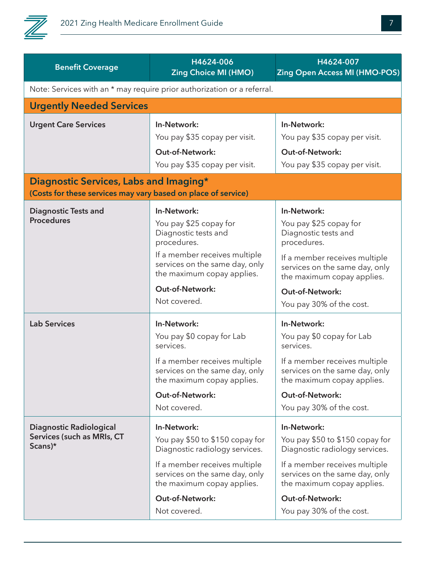

| <b>Benefit Coverage</b>                                                 | H4624-006<br><b>Zing Choice MI (HMO)</b>                                                      | H4624-007<br><b>Zing Open Access MI (HMO-POS)</b>                                             |  |  |
|-------------------------------------------------------------------------|-----------------------------------------------------------------------------------------------|-----------------------------------------------------------------------------------------------|--|--|
|                                                                         | Note: Services with an * may require prior authorization or a referral.                       |                                                                                               |  |  |
| <b>Urgently Needed Services</b>                                         |                                                                                               |                                                                                               |  |  |
| <b>Urgent Care Services</b>                                             | In-Network:                                                                                   | In-Network:                                                                                   |  |  |
|                                                                         | You pay \$35 copay per visit.                                                                 | You pay \$35 copay per visit.                                                                 |  |  |
|                                                                         | <b>Out-of-Network:</b><br>You pay \$35 copay per visit.                                       | <b>Out-of-Network:</b><br>You pay \$35 copay per visit.                                       |  |  |
| Diagnostic Services, Labs and Imaging*                                  |                                                                                               |                                                                                               |  |  |
| (Costs for these services may vary based on place of service)           |                                                                                               |                                                                                               |  |  |
| <b>Diagnostic Tests and</b>                                             | In-Network:                                                                                   | In-Network:                                                                                   |  |  |
| <b>Procedures</b>                                                       | You pay \$25 copay for<br>Diagnostic tests and<br>procedures.                                 | You pay \$25 copay for<br>Diagnostic tests and<br>procedures.                                 |  |  |
|                                                                         | If a member receives multiple<br>services on the same day, only<br>the maximum copay applies. | If a member receives multiple<br>services on the same day, only<br>the maximum copay applies. |  |  |
|                                                                         | <b>Out-of-Network:</b><br>Not covered.                                                        | Out-of-Network:<br>You pay 30% of the cost.                                                   |  |  |
| <b>Lab Services</b>                                                     | In-Network:                                                                                   | In-Network:                                                                                   |  |  |
|                                                                         | You pay \$0 copay for Lab<br>services.                                                        | You pay \$0 copay for Lab<br>services.                                                        |  |  |
|                                                                         | If a member receives multiple<br>services on the same day, only<br>the maximum copay applies. | If a member receives multiple<br>services on the same day, only<br>the maximum copay applies. |  |  |
|                                                                         | <b>Out-of-Network:</b>                                                                        | <b>Out-of-Network:</b>                                                                        |  |  |
|                                                                         | Not covered.                                                                                  | You pay 30% of the cost.                                                                      |  |  |
| <b>Diagnostic Radiological</b><br>Services (such as MRIs, CT<br>Scans)* | In-Network:<br>You pay \$50 to \$150 copay for<br>Diagnostic radiology services.              | In-Network:<br>You pay \$50 to \$150 copay for<br>Diagnostic radiology services.              |  |  |
|                                                                         | If a member receives multiple<br>services on the same day, only<br>the maximum copay applies. | If a member receives multiple<br>services on the same day, only<br>the maximum copay applies. |  |  |
|                                                                         | <b>Out-of-Network:</b>                                                                        | <b>Out-of-Network:</b>                                                                        |  |  |
|                                                                         | Not covered.                                                                                  | You pay 30% of the cost.                                                                      |  |  |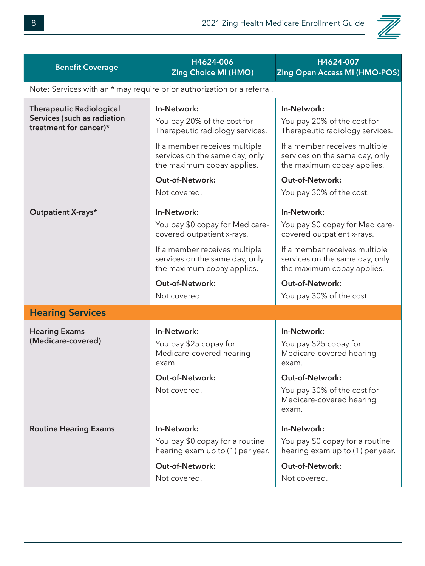

| <b>Benefit Coverage</b>                                                                  | H4624-006<br><b>Zing Choice MI (HMO)</b>                                                                                                                                                                                | H4624-007<br><b>Zing Open Access MI (HMO-POS)</b>                                                                                                                                                                                    |  |
|------------------------------------------------------------------------------------------|-------------------------------------------------------------------------------------------------------------------------------------------------------------------------------------------------------------------------|--------------------------------------------------------------------------------------------------------------------------------------------------------------------------------------------------------------------------------------|--|
| Note: Services with an * may require prior authorization or a referral.                  |                                                                                                                                                                                                                         |                                                                                                                                                                                                                                      |  |
| <b>Therapeutic Radiological</b><br>Services (such as radiation<br>treatment for cancer)* | In-Network:<br>You pay 20% of the cost for<br>Therapeutic radiology services.<br>If a member receives multiple<br>services on the same day, only<br>the maximum copay applies.<br>Out-of-Network:<br>Not covered.       | In-Network:<br>You pay 20% of the cost for<br>Therapeutic radiology services.<br>If a member receives multiple<br>services on the same day, only<br>the maximum copay applies.<br><b>Out-of-Network:</b><br>You pay 30% of the cost. |  |
| <b>Outpatient X-rays*</b>                                                                | In-Network:<br>You pay \$0 copay for Medicare-<br>covered outpatient x-rays.<br>If a member receives multiple<br>services on the same day, only<br>the maximum copay applies.<br><b>Out-of-Network:</b><br>Not covered. | In-Network:<br>You pay \$0 copay for Medicare-<br>covered outpatient x-rays.<br>If a member receives multiple<br>services on the same day, only<br>the maximum copay applies.<br><b>Out-of-Network:</b><br>You pay 30% of the cost.  |  |
| <b>Hearing Services</b>                                                                  |                                                                                                                                                                                                                         |                                                                                                                                                                                                                                      |  |
| <b>Hearing Exams</b><br>(Medicare-covered)                                               | In-Network:<br>You pay \$25 copay for<br>Medicare-covered hearing<br>exam.<br><b>Out-of-Network:</b><br>Not covered.                                                                                                    | In-Network:<br>You pay \$25 copay for<br>Medicare-covered hearing<br>exam.<br><b>Out-of-Network:</b><br>You pay 30% of the cost for<br>Medicare-covered hearing<br>exam.                                                             |  |
| <b>Routine Hearing Exams</b>                                                             | In-Network:<br>You pay \$0 copay for a routine<br>hearing exam up to (1) per year.<br><b>Out-of-Network:</b><br>Not covered.                                                                                            | In-Network:<br>You pay \$0 copay for a routine<br>hearing exam up to (1) per year.<br><b>Out-of-Network:</b><br>Not covered.                                                                                                         |  |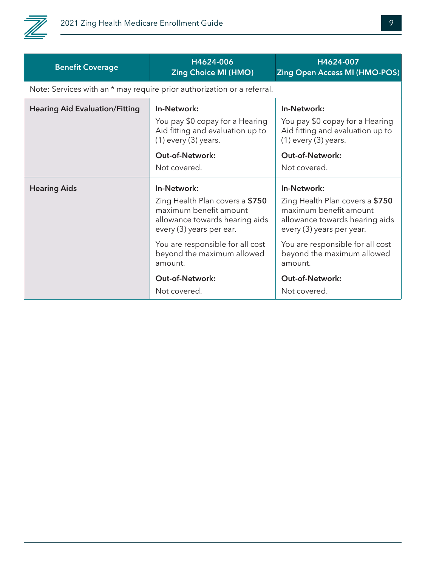

| <b>Benefit Coverage</b>               | H4624-006<br><b>Zing Choice MI (HMO)</b>                                                                                                                                                                 | H4624-007<br><b>Zing Open Access MI (HMO-POS)</b>                                                                                                                                                         |  |
|---------------------------------------|----------------------------------------------------------------------------------------------------------------------------------------------------------------------------------------------------------|-----------------------------------------------------------------------------------------------------------------------------------------------------------------------------------------------------------|--|
|                                       | Note: Services with an * may require prior authorization or a referral.                                                                                                                                  |                                                                                                                                                                                                           |  |
| <b>Hearing Aid Evaluation/Fitting</b> | In-Network:<br>You pay \$0 copay for a Hearing<br>Aid fitting and evaluation up to<br>$(1)$ every $(3)$ years.<br><b>Out-of-Network:</b><br>Not covered.                                                 | In-Network:<br>You pay \$0 copay for a Hearing<br>Aid fitting and evaluation up to<br>$(1)$ every $(3)$ years.<br><b>Out-of-Network:</b><br>Not covered.                                                  |  |
| <b>Hearing Aids</b>                   | In-Network:<br>Zing Health Plan covers a \$750<br>maximum benefit amount<br>allowance towards hearing aids<br>every (3) years per ear.<br>You are responsible for all cost<br>beyond the maximum allowed | In-Network:<br>Zing Health Plan covers a \$750<br>maximum benefit amount<br>allowance towards hearing aids<br>every (3) years per year.<br>You are responsible for all cost<br>beyond the maximum allowed |  |
|                                       | amount.<br>Out-of-Network:<br>Not covered.                                                                                                                                                               | amount.<br><b>Out-of-Network:</b><br>Not covered.                                                                                                                                                         |  |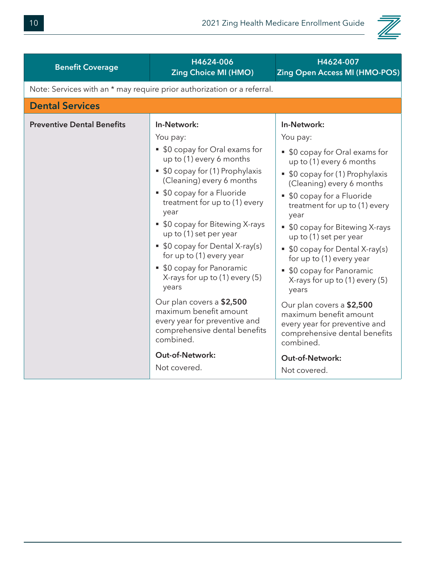

| <b>Benefit Coverage</b>           | H4624-006<br><b>Zing Choice MI (HMO)</b>                                                                                                                                                                                                                                                                                                                                                                                                                                                                                                                                                                             | H4624-007<br><b>Zing Open Access MI (HMO-POS)</b>                                                                                                                                                                                                                                                                                                                                                                                                                                                                                                                                                                  |
|-----------------------------------|----------------------------------------------------------------------------------------------------------------------------------------------------------------------------------------------------------------------------------------------------------------------------------------------------------------------------------------------------------------------------------------------------------------------------------------------------------------------------------------------------------------------------------------------------------------------------------------------------------------------|--------------------------------------------------------------------------------------------------------------------------------------------------------------------------------------------------------------------------------------------------------------------------------------------------------------------------------------------------------------------------------------------------------------------------------------------------------------------------------------------------------------------------------------------------------------------------------------------------------------------|
|                                   | Note: Services with an * may require prior authorization or a referral.                                                                                                                                                                                                                                                                                                                                                                                                                                                                                                                                              |                                                                                                                                                                                                                                                                                                                                                                                                                                                                                                                                                                                                                    |
| <b>Dental Services</b>            |                                                                                                                                                                                                                                                                                                                                                                                                                                                                                                                                                                                                                      |                                                                                                                                                                                                                                                                                                                                                                                                                                                                                                                                                                                                                    |
| <b>Preventive Dental Benefits</b> | In-Network:<br>You pay:<br>• \$0 copay for Oral exams for<br>up to (1) every 6 months<br>• \$0 copay for (1) Prophylaxis<br>(Cleaning) every 6 months<br>• \$0 copay for a Fluoride<br>treatment for up to (1) every<br>year<br>• \$0 copay for Bitewing X-rays<br>up to (1) set per year<br>• \$0 copay for Dental X-ray(s)<br>for up to (1) every year<br>• \$0 copay for Panoramic<br>X-rays for up to $(1)$ every $(5)$<br>years<br>Our plan covers a \$2,500<br>maximum benefit amount<br>every year for preventive and<br>comprehensive dental benefits<br>combined.<br><b>Out-of-Network:</b><br>Not covered. | In-Network:<br>You pay:<br>• \$0 copay for Oral exams for<br>up to (1) every 6 months<br>• \$0 copay for (1) Prophylaxis<br>(Cleaning) every 6 months<br>• \$0 copay for a Fluoride<br>treatment for up to (1) every<br>year<br>• \$0 copay for Bitewing X-rays<br>up to (1) set per year<br>\$0 copay for Dental X-ray(s)<br>for up to (1) every year<br>• \$0 copay for Panoramic<br>X-rays for up to $(1)$ every $(5)$<br>years<br>Our plan covers a \$2,500<br>maximum benefit amount<br>every year for preventive and<br>comprehensive dental benefits<br>combined.<br><b>Out-of-Network:</b><br>Not covered. |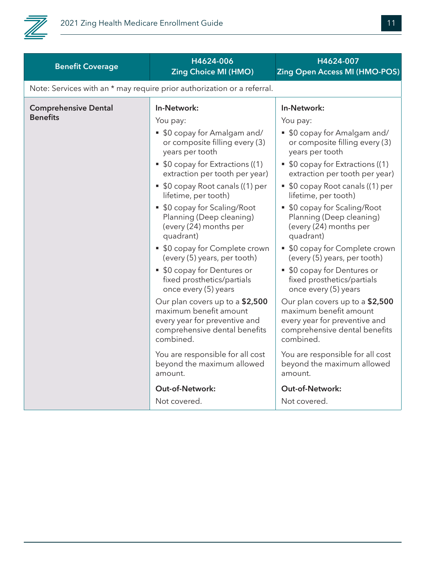

| <b>Benefit Coverage</b>                        | H4624-006<br><b>Zing Choice MI (HMO)</b>                                                                                                                                                                                                               | H4624-007<br><b>Zing Open Access MI (HMO-POS)</b>                                                                                                                                                                                                    |
|------------------------------------------------|--------------------------------------------------------------------------------------------------------------------------------------------------------------------------------------------------------------------------------------------------------|------------------------------------------------------------------------------------------------------------------------------------------------------------------------------------------------------------------------------------------------------|
|                                                | Note: Services with an * may require prior authorization or a referral.                                                                                                                                                                                |                                                                                                                                                                                                                                                      |
| <b>Comprehensive Dental</b><br><b>Benefits</b> | In-Network:<br>You pay:<br>• \$0 copay for Amalgam and/<br>or composite filling every (3)<br>years per tooth<br>• \$0 copay for Extractions ((1)<br>extraction per tooth per year)<br>• \$0 copay Root canals ((1) per<br>lifetime, per tooth)         | In-Network:<br>You pay:<br>• \$0 copay for Amalgam and/<br>or composite filling every (3)<br>years per tooth<br>• \$0 copay for Extractions ((1)<br>extraction per tooth per year)<br>• \$0 copay Root canals ((1) per<br>lifetime, per tooth)       |
|                                                | • \$0 copay for Scaling/Root<br>Planning (Deep cleaning)<br>(every (24) months per<br>quadrant)<br>• \$0 copay for Complete crown<br>(every (5) years, per tooth)<br>• \$0 copay for Dentures or<br>fixed prosthetics/partials<br>once every (5) years | • \$0 copay for Scaling/Root<br>Planning (Deep cleaning)<br>(every (24) months per<br>quadrant)<br>• \$0 copay for Complete crown<br>(every (5) years, per tooth)<br>\$0 copay for Dentures or<br>fixed prosthetics/partials<br>once every (5) years |
|                                                | Our plan covers up to a \$2,500<br>maximum benefit amount<br>every year for preventive and<br>comprehensive dental benefits<br>combined.                                                                                                               | Our plan covers up to a \$2,500<br>maximum benefit amount<br>every year for preventive and<br>comprehensive dental benefits<br>combined.                                                                                                             |
|                                                | You are responsible for all cost<br>beyond the maximum allowed<br>amount.                                                                                                                                                                              | You are responsible for all cost<br>beyond the maximum allowed<br>amount.                                                                                                                                                                            |
|                                                | <b>Out-of-Network:</b><br>Not covered.                                                                                                                                                                                                                 | <b>Out-of-Network:</b><br>Not covered.                                                                                                                                                                                                               |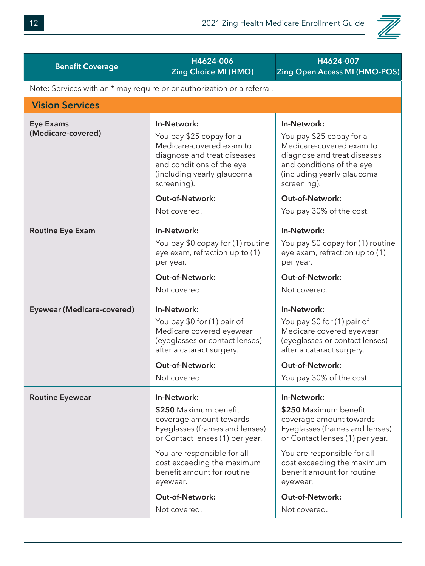

| <b>Benefit Coverage</b>                | H4624-006<br><b>Zing Choice MI (HMO)</b>                                                                                                                                                                                                                                              | H4624-007<br><b>Zing Open Access MI (HMO-POS)</b>                                                                                                                                                                                                                              |
|----------------------------------------|---------------------------------------------------------------------------------------------------------------------------------------------------------------------------------------------------------------------------------------------------------------------------------------|--------------------------------------------------------------------------------------------------------------------------------------------------------------------------------------------------------------------------------------------------------------------------------|
|                                        | Note: Services with an * may require prior authorization or a referral.                                                                                                                                                                                                               |                                                                                                                                                                                                                                                                                |
| <b>Vision Services</b>                 |                                                                                                                                                                                                                                                                                       |                                                                                                                                                                                                                                                                                |
| <b>Eye Exams</b><br>(Medicare-covered) | In-Network:<br>You pay \$25 copay for a<br>Medicare-covered exam to<br>diagnose and treat diseases<br>and conditions of the eye<br>(including yearly glaucoma<br>screening).<br><b>Out-of-Network:</b><br>Not covered.                                                                | In-Network:<br>You pay \$25 copay for a<br>Medicare-covered exam to<br>diagnose and treat diseases<br>and conditions of the eye<br>(including yearly glaucoma<br>screening).<br><b>Out-of-Network:</b><br>You pay 30% of the cost.                                             |
| <b>Routine Eye Exam</b>                | In-Network:<br>You pay \$0 copay for (1) routine<br>eye exam, refraction up to (1)<br>per year.<br><b>Out-of-Network:</b><br>Not covered.                                                                                                                                             | In-Network:<br>You pay \$0 copay for (1) routine<br>eye exam, refraction up to (1)<br>per year.<br>Out-of-Network:<br>Not covered.                                                                                                                                             |
| Eyewear (Medicare-covered)             | In-Network:<br>You pay \$0 for (1) pair of<br>Medicare covered eyewear<br>(eyeglasses or contact lenses)<br>after a cataract surgery.<br>Out-of-Network:<br>Not covered.                                                                                                              | In-Network:<br>You pay \$0 for (1) pair of<br>Medicare covered eyewear<br>(eyeglasses or contact lenses)<br>after a cataract surgery.<br><b>Out-of-Network:</b><br>You pay 30% of the cost.                                                                                    |
| <b>Routine Eyewear</b>                 | In-Network:<br>\$250 Maximum benefit<br>coverage amount towards<br>Eyeglasses (frames and lenses)<br>or Contact lenses (1) per year.<br>You are responsible for all<br>cost exceeding the maximum<br>benefit amount for routine<br>eyewear.<br><b>Out-of-Network:</b><br>Not covered. | In-Network:<br>\$250 Maximum benefit<br>coverage amount towards<br>Eyeglasses (frames and lenses)<br>or Contact lenses (1) per year.<br>You are responsible for all<br>cost exceeding the maximum<br>benefit amount for routine<br>eyewear.<br>Out-of-Network:<br>Not covered. |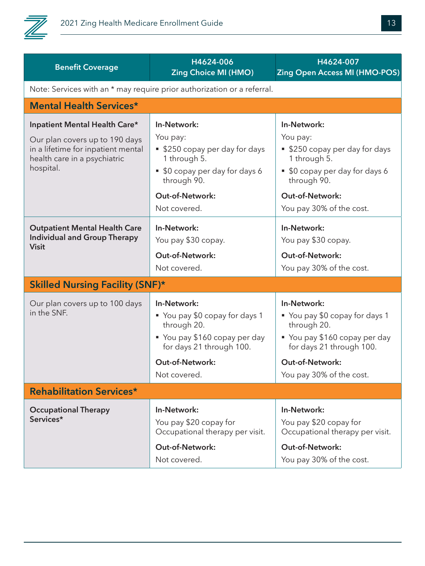

| <b>Benefit Coverage</b>                                                                                                                            | H4624-006<br><b>Zing Choice MI (HMO)</b>                                                                                                                             | H4624-007<br><b>Zing Open Access MI (HMO-POS)</b>                                                                                                                                |
|----------------------------------------------------------------------------------------------------------------------------------------------------|----------------------------------------------------------------------------------------------------------------------------------------------------------------------|----------------------------------------------------------------------------------------------------------------------------------------------------------------------------------|
|                                                                                                                                                    | Note: Services with an * may require prior authorization or a referral.                                                                                              |                                                                                                                                                                                  |
| <b>Mental Health Services*</b>                                                                                                                     |                                                                                                                                                                      |                                                                                                                                                                                  |
| Inpatient Mental Health Care*<br>Our plan covers up to 190 days<br>in a lifetime for inpatient mental<br>health care in a psychiatric<br>hospital. | In-Network:<br>You pay:<br>■ \$250 copay per day for days<br>1 through 5.<br>■ \$0 copay per day for days 6<br>through 90.<br><b>Out-of-Network:</b><br>Not covered. | In-Network:<br>You pay:<br>■ \$250 copay per day for days<br>1 through 5.<br>■ \$0 copay per day for days 6<br>through 90.<br><b>Out-of-Network:</b><br>You pay 30% of the cost. |
| <b>Outpatient Mental Health Care</b><br><b>Individual and Group Therapy</b><br><b>Visit</b>                                                        | In-Network:<br>You pay \$30 copay.<br><b>Out-of-Network:</b><br>Not covered.                                                                                         | In-Network:<br>You pay \$30 copay.<br>Out-of-Network:<br>You pay 30% of the cost.                                                                                                |
| <b>Skilled Nursing Facility (SNF)*</b>                                                                                                             |                                                                                                                                                                      |                                                                                                                                                                                  |
| Our plan covers up to 100 days<br>in the SNF.                                                                                                      | In-Network:<br>■ You pay \$0 copay for days 1<br>through 20.<br>■ You pay \$160 copay per day<br>for days 21 through 100.                                            | In-Network:<br>■ You pay \$0 copay for days 1<br>through 20.<br>■ You pay \$160 copay per day<br>for days 21 through 100.                                                        |
|                                                                                                                                                    | <b>Out-of-Network:</b><br>Not covered.                                                                                                                               | <b>Out-of-Network:</b><br>You pay 30% of the cost.                                                                                                                               |
| <b>Rehabilitation Services*</b>                                                                                                                    |                                                                                                                                                                      |                                                                                                                                                                                  |
|                                                                                                                                                    |                                                                                                                                                                      |                                                                                                                                                                                  |
| <b>Occupational Therapy</b><br>Services*                                                                                                           | In-Network:<br>You pay \$20 copay for<br>Occupational therapy per visit.<br><b>Out-of-Network:</b>                                                                   | In-Network:<br>You pay \$20 copay for<br>Occupational therapy per visit.<br><b>Out-of-Network:</b>                                                                               |
|                                                                                                                                                    | Not covered.                                                                                                                                                         | You pay 30% of the cost.                                                                                                                                                         |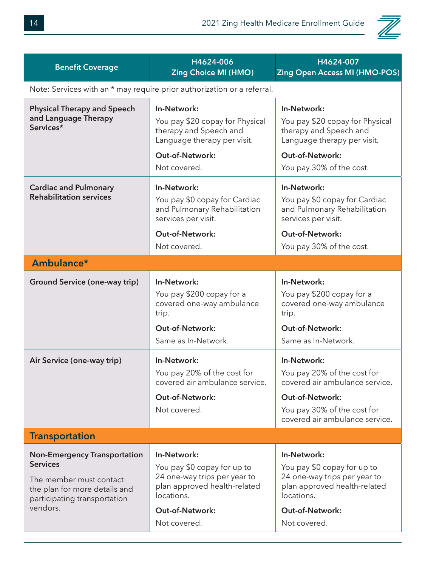

| <b>Benefit Coverage</b>                                                                                                                                        | H4624-006<br><b>Zing Choice MI (HMO)</b>                                                                                                                           | H4624-007<br><b>Zing Open Access MI (HMO-POS)</b>                                                                                                                       |  |
|----------------------------------------------------------------------------------------------------------------------------------------------------------------|--------------------------------------------------------------------------------------------------------------------------------------------------------------------|-------------------------------------------------------------------------------------------------------------------------------------------------------------------------|--|
| Note: Services with an * may require prior authorization or a referral.                                                                                        |                                                                                                                                                                    |                                                                                                                                                                         |  |
| <b>Physical Therapy and Speech</b><br>and Language Therapy<br>Services*                                                                                        | In-Network:<br>You pay \$20 copay for Physical<br>therapy and Speech and<br>Language therapy per visit.<br><b>Out-of-Network:</b><br>Not covered.                  | In-Network:<br>You pay \$20 copay for Physical<br>therapy and Speech and<br>Language therapy per visit.<br><b>Out-of-Network:</b><br>You pay 30% of the cost.           |  |
| <b>Cardiac and Pulmonary</b><br><b>Rehabilitation services</b>                                                                                                 | In-Network:<br>You pay \$0 copay for Cardiac<br>and Pulmonary Rehabilitation<br>services per visit.<br><b>Out-of-Network:</b><br>Not covered.                      | In-Network:<br>You pay \$0 copay for Cardiac<br>and Pulmonary Rehabilitation<br>services per visit.<br><b>Out-of-Network:</b><br>You pay 30% of the cost.               |  |
| Ambulance*                                                                                                                                                     |                                                                                                                                                                    |                                                                                                                                                                         |  |
| <b>Ground Service (one-way trip)</b>                                                                                                                           | In-Network:<br>You pay \$200 copay for a<br>covered one-way ambulance<br>trip.<br><b>Out-of-Network:</b><br>Same as In-Network.                                    | In-Network:<br>You pay \$200 copay for a<br>covered one-way ambulance<br>trip.<br><b>Out-of-Network:</b><br>Same as In-Network.                                         |  |
| Air Service (one-way trip)                                                                                                                                     | In-Network:<br>You pay 20% of the cost for<br>covered air ambulance service.<br><b>Out-of-Network:</b><br>Not covered.                                             | In-Network:<br>You pay 20% of the cost for<br>covered air ambulance service.<br><b>Out-of-Network:</b><br>You pay 30% of the cost for<br>covered air ambulance service. |  |
| <b>Transportation</b>                                                                                                                                          |                                                                                                                                                                    |                                                                                                                                                                         |  |
| <b>Non-Emergency Transportation</b><br><b>Services</b><br>The member must contact<br>the plan for more details and<br>participating transportation<br>vendors. | In-Network:<br>You pay \$0 copay for up to<br>24 one-way trips per year to<br>plan approved health-related<br>locations.<br><b>Out-of-Network:</b><br>Not covered. | In-Network:<br>You pay \$0 copay for up to<br>24 one-way trips per year to<br>plan approved health-related<br>locations.<br>Out-of-Network:<br>Not covered.             |  |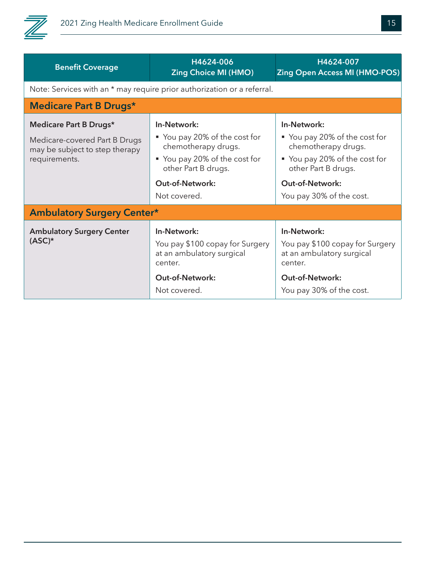

| <b>Benefit Coverage</b>                                         | H4624-006<br><b>Zing Choice MI (HMO)</b>                                               | H4624-007<br><b>Zing Open Access MI (HMO-POS)</b>                                      |
|-----------------------------------------------------------------|----------------------------------------------------------------------------------------|----------------------------------------------------------------------------------------|
|                                                                 | Note: Services with an * may require prior authorization or a referral.                |                                                                                        |
| <b>Medicare Part B Drugs*</b>                                   |                                                                                        |                                                                                        |
| Medicare Part B Drugs*                                          | In-Network:                                                                            | In-Network:                                                                            |
| Medicare-covered Part B Drugs<br>may be subject to step therapy | ■ You pay 20% of the cost for<br>chemotherapy drugs.                                   | ■ You pay 20% of the cost for<br>chemotherapy drugs.                                   |
| requirements.                                                   | ■ You pay 20% of the cost for<br>other Part B drugs.                                   | ■ You pay 20% of the cost for<br>other Part B drugs.                                   |
|                                                                 | <b>Out-of-Network:</b>                                                                 | <b>Out-of-Network:</b>                                                                 |
|                                                                 | Not covered.                                                                           | You pay 30% of the cost.                                                               |
| <b>Ambulatory Surgery Center*</b>                               |                                                                                        |                                                                                        |
| <b>Ambulatory Surgery Center</b><br>$(ASC)^*$                   | In-Network:<br>You pay \$100 copay for Surgery<br>at an ambulatory surgical<br>center. | In-Network:<br>You pay \$100 copay for Surgery<br>at an ambulatory surgical<br>center. |
|                                                                 | <b>Out-of-Network:</b><br>Not covered.                                                 | <b>Out-of-Network:</b><br>You pay 30% of the cost.                                     |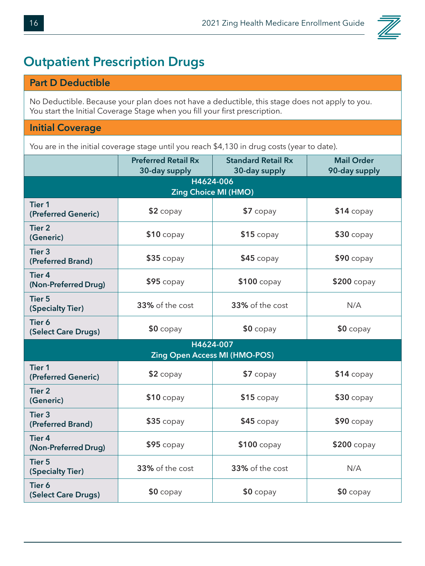

#### **Outpatient Prescription Drugs**

#### **Part D Deductible**

No Deductible. Because your plan does not have a deductible, this stage does not apply to you. You start the Initial Coverage Stage when you fill your first prescription.

#### **Initial Coverage**

You are in the initial coverage stage until you reach \$4,130 in drug costs (year to date).

|                                        | <b>Preferred Retail Rx</b>               | <b>Standard Retail Rx</b>            | <b>Mail Order</b> |
|----------------------------------------|------------------------------------------|--------------------------------------|-------------------|
|                                        | 30-day supply                            | 30-day supply                        | 90-day supply     |
|                                        | H4624-006<br><b>Zing Choice MI (HMO)</b> |                                      |                   |
| <b>Tier 1</b><br>(Preferred Generic)   | $$2$ copay                               | $$7$ copay                           | $$14$ copay       |
| <b>Tier 2</b><br>(Generic)             | $$10$ copay                              | $$15$ copay                          | $$30$ copay       |
| Tier <sub>3</sub><br>(Preferred Brand) | $$35$ copay                              | $$45$ copay                          | $$90$ copay       |
| <b>Tier 4</b><br>(Non-Preferred Drug)  | $$95$ copay                              | \$100 copay                          | \$200 copay       |
| <b>Tier 5</b><br>(Specialty Tier)      | 33% of the cost                          | 33% of the cost                      | N/A               |
| Tier 6<br>(Select Care Drugs)          | $$0$ copay                               | $$0$ copay                           | $$0$ copay        |
| H4624-007                              |                                          |                                      |                   |
|                                        |                                          | <b>Zing Open Access MI (HMO-POS)</b> |                   |
| <b>Tier 1</b><br>(Preferred Generic)   | $$2$ copay                               | $$7$ copay                           | $$14$ copay       |
| <b>Tier 2</b><br>(Generic)             | $$10$ copay                              | $$15$ copay                          | $$30$ copay       |
| Tier <sub>3</sub><br>(Preferred Brand) | $$35$ copay                              | $$45$ copay                          | $$90$ copay       |
| <b>Tier 4</b><br>(Non-Preferred Drug)  | $$95$ copay                              | $$100$ copay                         | \$200 copay       |
| <b>Tier 5</b><br>(Specialty Tier)      | 33% of the cost                          | 33% of the cost                      | N/A               |
| Tier 6<br>(Select Care Drugs)          | $$0$ copay                               | $$0$ copay                           | $$0$ copay        |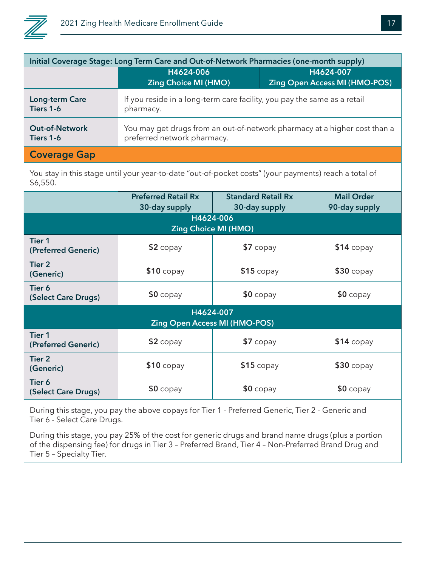

| Initial Coverage Stage: Long Term Care and Out-of-Network Pharmacies (one-month supply)                           |                                                                                                          |                                                   |
|-------------------------------------------------------------------------------------------------------------------|----------------------------------------------------------------------------------------------------------|---------------------------------------------------|
|                                                                                                                   | H4624-006<br><b>Zing Choice MI (HMO)</b>                                                                 | H4624-007<br><b>Zing Open Access MI (HMO-POS)</b> |
| Long-term Care<br>Tiers 1-6                                                                                       | If you reside in a long-term care facility, you pay the same as a retail<br>pharmacy.                    |                                                   |
| <b>Out-of-Network</b><br>Tiers 1-6                                                                                | You may get drugs from an out-of-network pharmacy at a higher cost than a<br>preferred network pharmacy. |                                                   |
| <b>Coverage Gap</b>                                                                                               |                                                                                                          |                                                   |
| You stay in this stage until your year-to-date "out-of-pocket costs" (your payments) reach a total of<br>\$6,550. |                                                                                                          |                                                   |

|                                                   | <b>Preferred Retail Rx</b><br>30-day supply | <b>Standard Retail Rx</b><br>30-day supply | <b>Mail Order</b><br>90-day supply |
|---------------------------------------------------|---------------------------------------------|--------------------------------------------|------------------------------------|
|                                                   |                                             | H4624-006<br><b>Zing Choice MI (HMO)</b>   |                                    |
| <b>Tier 1</b><br>(Preferred Generic)              | $$2$ copay                                  | $$7$ copay                                 | $$14$ copay                        |
| Tier 2<br>(Generic)                               | $$10$ copay                                 | $$15$ copay                                | $$30$ copay                        |
| Tier 6<br>(Select Care Drugs)                     | $$0$ copay                                  | $$0$ copay                                 | $$0$ copay                         |
| H4624-007<br><b>Zing Open Access MI (HMO-POS)</b> |                                             |                                            |                                    |
| <b>Tier 1</b><br>(Preferred Generic)              | $$2$ copay                                  | \$7 copay                                  | $$14$ copay                        |
| Tier <sub>2</sub><br>(Generic)                    | $$10$ copay                                 | $$15$ copay                                | $$30$ copay                        |
| Tier 6<br>(Select Care Drugs)                     | $$0$ copay                                  | $$0$ copay                                 | $$0$ copay                         |

During this stage, you pay the above copays for Tier 1 - Preferred Generic, Tier 2 - Generic and Tier 6 - Select Care Drugs.

During this stage, you pay 25% of the cost for generic drugs and brand name drugs (plus a portion of the dispensing fee) for drugs in Tier 3 – Preferred Brand, Tier 4 – Non-Preferred Brand Drug and Tier 5 – Specialty Tier.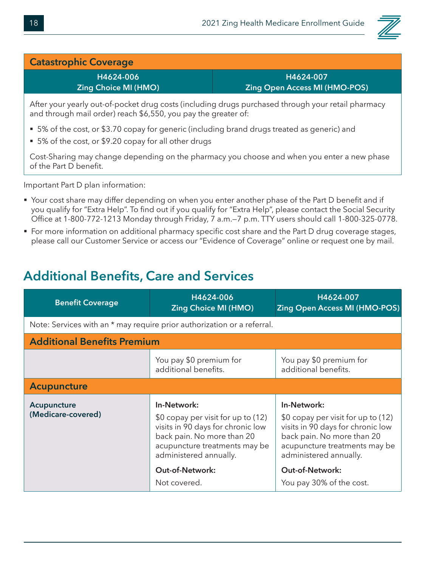

#### **Catastrophic Coverage**

**H4624-006 Zing Choice MI (HMO)**

**H4624-007 Zing Open Access MI (HMO-POS)**

After your yearly out-of-pocket drug costs (including drugs purchased through your retail pharmacy and through mail order) reach \$6,550, you pay the greater of:

- 5% of the cost, or \$3.70 copay for generic (including brand drugs treated as generic) and
- 5% of the cost, or \$9.20 copay for all other drugs

Cost-Sharing may change depending on the pharmacy you choose and when you enter a new phase of the Part D benefit.

Important Part D plan information:

- Your cost share may differ depending on when you enter another phase of the Part D benefit and if you qualify for "Extra Help". To find out if you qualify for "Extra Help", please contact the Social Security Office at 1-800-772-1213 Monday through Friday, 7 a.m.—7 p.m. TTY users should call 1-800-325-0778.
- For more information on additional pharmacy specific cost share and the Part D drug coverage stages, please call our Customer Service or access our "Evidence of Coverage" online or request one by mail.

#### **Additional Benefits, Care and Services**

| <b>Benefit Coverage</b>            | H4624-006<br><b>Zing Choice MI (HMO)</b>                                                                                                                                                                  | H4624-007<br><b>Zing Open Access MI (HMO-POS)</b>                                                                                                                                                  |
|------------------------------------|-----------------------------------------------------------------------------------------------------------------------------------------------------------------------------------------------------------|----------------------------------------------------------------------------------------------------------------------------------------------------------------------------------------------------|
|                                    | Note: Services with an * may require prior authorization or a referral.                                                                                                                                   |                                                                                                                                                                                                    |
| <b>Additional Benefits Premium</b> |                                                                                                                                                                                                           |                                                                                                                                                                                                    |
|                                    | You pay \$0 premium for<br>additional benefits.                                                                                                                                                           | You pay \$0 premium for<br>additional benefits.                                                                                                                                                    |
| <b>Acupuncture</b>                 |                                                                                                                                                                                                           |                                                                                                                                                                                                    |
| Acupuncture<br>(Medicare-covered)  | In-Network:<br>\$0 copay per visit for up to (12)<br>visits in 90 days for chronic low<br>back pain. No more than 20<br>acupuncture treatments may be<br>administered annually.<br><b>Out-of-Network:</b> | In-Network:<br>\$0 copay per visit for up to (12)<br>visits in 90 days for chronic low<br>back pain. No more than 20<br>acupuncture treatments may be<br>administered annually.<br>Out-of-Network: |
|                                    | Not covered.                                                                                                                                                                                              | You pay 30% of the cost.                                                                                                                                                                           |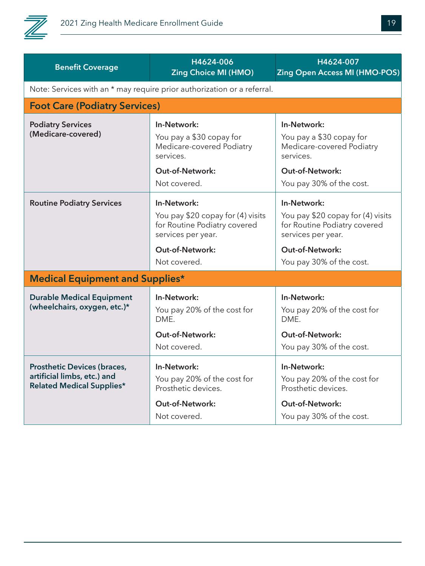

| <b>Benefit Coverage</b>                                                                               | H4624-006<br><b>Zing Choice MI (HMO)</b>                                                                                                  | H4624-007<br><b>Zing Open Access MI (HMO-POS)</b>                                                                                                            |
|-------------------------------------------------------------------------------------------------------|-------------------------------------------------------------------------------------------------------------------------------------------|--------------------------------------------------------------------------------------------------------------------------------------------------------------|
|                                                                                                       | Note: Services with an * may require prior authorization or a referral.                                                                   |                                                                                                                                                              |
| <b>Foot Care (Podiatry Services)</b>                                                                  |                                                                                                                                           |                                                                                                                                                              |
| <b>Podiatry Services</b><br>(Medicare-covered)                                                        | In-Network:<br>You pay a \$30 copay for<br>Medicare-covered Podiatry<br>services.<br>Out-of-Network:<br>Not covered.                      | In-Network:<br>You pay a \$30 copay for<br>Medicare-covered Podiatry<br>services.<br><b>Out-of-Network:</b><br>You pay 30% of the cost.                      |
| <b>Routine Podiatry Services</b>                                                                      | In-Network:<br>You pay \$20 copay for (4) visits<br>for Routine Podiatry covered<br>services per year.<br>Out-of-Network:<br>Not covered. | In-Network:<br>You pay \$20 copay for (4) visits<br>for Routine Podiatry covered<br>services per year.<br><b>Out-of-Network:</b><br>You pay 30% of the cost. |
| <b>Medical Equipment and Supplies*</b>                                                                |                                                                                                                                           |                                                                                                                                                              |
| <b>Durable Medical Equipment</b><br>(wheelchairs, oxygen, etc.)*                                      | In-Network:<br>You pay 20% of the cost for<br>DME.<br>Out-of-Network:<br>Not covered.                                                     | In-Network:<br>You pay 20% of the cost for<br>DME.<br><b>Out-of-Network:</b><br>You pay 30% of the cost.                                                     |
| <b>Prosthetic Devices (braces,</b><br>artificial limbs, etc.) and<br><b>Related Medical Supplies*</b> | In-Network:<br>You pay 20% of the cost for<br>Prosthetic devices.<br><b>Out-of-Network:</b><br>Not covered.                               | In-Network:<br>You pay 20% of the cost for<br>Prosthetic devices.<br>Out-of-Network:<br>You pay 30% of the cost.                                             |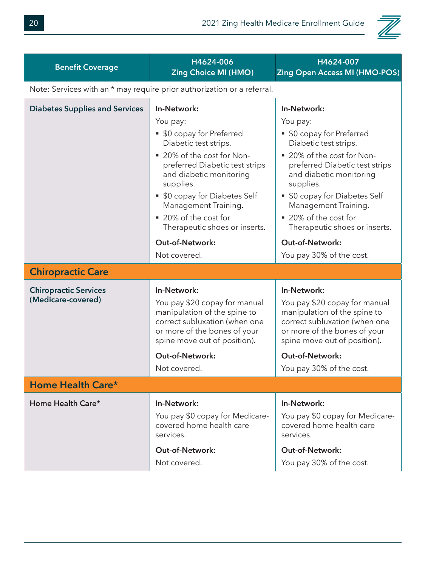

| <b>Benefit Coverage</b>                            | H4624-006<br><b>Zing Choice MI (HMO)</b>                                                                                                                                                                                                                                                                 | H4624-007<br><b>Zing Open Access MI (HMO-POS)</b>                                                                                                                                                                                                                                                        |
|----------------------------------------------------|----------------------------------------------------------------------------------------------------------------------------------------------------------------------------------------------------------------------------------------------------------------------------------------------------------|----------------------------------------------------------------------------------------------------------------------------------------------------------------------------------------------------------------------------------------------------------------------------------------------------------|
|                                                    | Note: Services with an * may require prior authorization or a referral.                                                                                                                                                                                                                                  |                                                                                                                                                                                                                                                                                                          |
| <b>Diabetes Supplies and Services</b>              | In-Network:<br>You pay:<br>• \$0 copay for Preferred<br>Diabetic test strips.<br>■ 20% of the cost for Non-<br>preferred Diabetic test strips<br>and diabetic monitoring<br>supplies.<br>• \$0 copay for Diabetes Self<br>Management Training.<br>■ 20% of the cost for<br>Therapeutic shoes or inserts. | In-Network:<br>You pay:<br>• \$0 copay for Preferred<br>Diabetic test strips.<br>■ 20% of the cost for Non-<br>preferred Diabetic test strips<br>and diabetic monitoring<br>supplies.<br>• \$0 copay for Diabetes Self<br>Management Training.<br>■ 20% of the cost for<br>Therapeutic shoes or inserts. |
|                                                    | <b>Out-of-Network:</b><br>Not covered.                                                                                                                                                                                                                                                                   | Out-of-Network:<br>You pay 30% of the cost.                                                                                                                                                                                                                                                              |
| <b>Chiropractic Care</b>                           |                                                                                                                                                                                                                                                                                                          |                                                                                                                                                                                                                                                                                                          |
| <b>Chiropractic Services</b><br>(Medicare-covered) | In-Network:<br>You pay \$20 copay for manual<br>manipulation of the spine to<br>correct subluxation (when one<br>or more of the bones of your<br>spine move out of position).                                                                                                                            | In-Network:<br>You pay \$20 copay for manual<br>manipulation of the spine to<br>correct subluxation (when one<br>or more of the bones of your<br>spine move out of position).                                                                                                                            |
|                                                    | <b>Out-of-Network:</b>                                                                                                                                                                                                                                                                                   | <b>Out-of-Network:</b>                                                                                                                                                                                                                                                                                   |
|                                                    | Not covered.                                                                                                                                                                                                                                                                                             | You pay 30% of the cost.                                                                                                                                                                                                                                                                                 |
| Home Health Care*                                  |                                                                                                                                                                                                                                                                                                          |                                                                                                                                                                                                                                                                                                          |
| Home Health Care*                                  | In-Network:<br>You pay \$0 copay for Medicare-<br>covered home health care<br>services.<br><b>Out-of-Network:</b><br>Not covered.                                                                                                                                                                        | In-Network:<br>You pay \$0 copay for Medicare-<br>covered home health care<br>services.<br>Out-of-Network:<br>You pay 30% of the cost.                                                                                                                                                                   |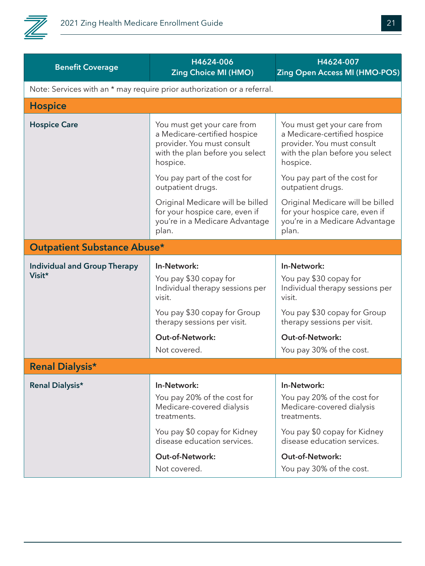

| <b>Benefit Coverage</b>             | H4624-006<br><b>Zing Choice MI (HMO)</b>                                                                                                 | H4624-007<br><b>Zing Open Access MI (HMO-POS)</b>                                                                                        |
|-------------------------------------|------------------------------------------------------------------------------------------------------------------------------------------|------------------------------------------------------------------------------------------------------------------------------------------|
|                                     | Note: Services with an * may require prior authorization or a referral.                                                                  |                                                                                                                                          |
| <b>Hospice</b>                      |                                                                                                                                          |                                                                                                                                          |
| <b>Hospice Care</b>                 | You must get your care from<br>a Medicare-certified hospice<br>provider. You must consult<br>with the plan before you select<br>hospice. | You must get your care from<br>a Medicare-certified hospice<br>provider. You must consult<br>with the plan before you select<br>hospice. |
|                                     | You pay part of the cost for<br>outpatient drugs.                                                                                        | You pay part of the cost for<br>outpatient drugs.                                                                                        |
|                                     | Original Medicare will be billed<br>for your hospice care, even if<br>you're in a Medicare Advantage<br>plan.                            | Original Medicare will be billed<br>for your hospice care, even if<br>you're in a Medicare Advantage<br>plan.                            |
| <b>Outpatient Substance Abuse*</b>  |                                                                                                                                          |                                                                                                                                          |
| <b>Individual and Group Therapy</b> | In-Network:                                                                                                                              | In-Network:                                                                                                                              |
| Visit*                              | You pay \$30 copay for<br>Individual therapy sessions per<br>visit.                                                                      | You pay \$30 copay for<br>Individual therapy sessions per<br>visit.                                                                      |
|                                     | You pay \$30 copay for Group<br>therapy sessions per visit.                                                                              | You pay \$30 copay for Group<br>therapy sessions per visit.                                                                              |
|                                     | <b>Out-of-Network:</b>                                                                                                                   | Out-of-Network:                                                                                                                          |
|                                     | Not covered.                                                                                                                             | You pay 30% of the cost.                                                                                                                 |
| <b>Renal Dialysis*</b>              |                                                                                                                                          |                                                                                                                                          |
| Renal Dialysis*                     | In-Network:                                                                                                                              | In-Network:                                                                                                                              |
|                                     | You pay 20% of the cost for<br>Medicare-covered dialysis<br>treatments.                                                                  | You pay 20% of the cost for<br>Medicare-covered dialysis<br>treatments.                                                                  |
|                                     | You pay \$0 copay for Kidney<br>disease education services.                                                                              | You pay \$0 copay for Kidney<br>disease education services.                                                                              |
|                                     | <b>Out-of-Network:</b>                                                                                                                   | <b>Out-of-Network:</b>                                                                                                                   |
|                                     | Not covered.                                                                                                                             | You pay 30% of the cost.                                                                                                                 |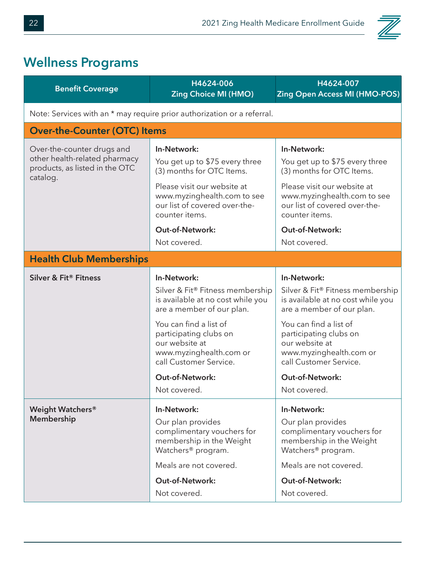

#### **Wellness Programs**

| <b>Benefit Coverage</b>                                                                                   | H4624-006<br><b>Zing Choice MI (HMO)</b>                                                                                                                                                                                                                                               | H4624-007<br><b>Zing Open Access MI (HMO-POS)</b>                                                                                                                                                                                                                               |  |
|-----------------------------------------------------------------------------------------------------------|----------------------------------------------------------------------------------------------------------------------------------------------------------------------------------------------------------------------------------------------------------------------------------------|---------------------------------------------------------------------------------------------------------------------------------------------------------------------------------------------------------------------------------------------------------------------------------|--|
| Note: Services with an * may require prior authorization or a referral.                                   |                                                                                                                                                                                                                                                                                        |                                                                                                                                                                                                                                                                                 |  |
| <b>Over-the-Counter (OTC) Items</b>                                                                       |                                                                                                                                                                                                                                                                                        |                                                                                                                                                                                                                                                                                 |  |
| Over-the-counter drugs and<br>other health-related pharmacy<br>products, as listed in the OTC<br>catalog. | In-Network:<br>You get up to \$75 every three<br>(3) months for OTC Items.<br>Please visit our website at<br>www.myzinghealth.com to see<br>our list of covered over-the-<br>counter items.<br><b>Out-of-Network:</b><br>Not covered.                                                  | In-Network:<br>You get up to \$75 every three<br>(3) months for OTC Items.<br>Please visit our website at<br>www.myzinghealth.com to see<br>our list of covered over-the-<br>counter items.<br><b>Out-of-Network:</b><br>Not covered.                                           |  |
| <b>Health Club Memberships</b>                                                                            |                                                                                                                                                                                                                                                                                        |                                                                                                                                                                                                                                                                                 |  |
| Silver & Fit® Fitness                                                                                     | In-Network:<br>Silver & Fit® Fitness membership<br>is available at no cost while you<br>are a member of our plan.<br>You can find a list of<br>participating clubs on<br>our website at<br>www.myzinghealth.com or<br>call Customer Service.<br><b>Out-of-Network:</b><br>Not covered. | In-Network:<br>Silver & Fit® Fitness membership<br>is available at no cost while you<br>are a member of our plan.<br>You can find a list of<br>participating clubs on<br>our website at<br>www.myzinghealth.com or<br>call Customer Service.<br>Out-of-Network:<br>Not covered. |  |
| Weight Watchers®<br><b>Membership</b>                                                                     | In-Network:<br>Our plan provides<br>complimentary vouchers for<br>membership in the Weight<br>Watchers <sup>®</sup> program.<br>Meals are not covered.<br><b>Out-of-Network:</b><br>Not covered.                                                                                       | In-Network:<br>Our plan provides<br>complimentary vouchers for<br>membership in the Weight<br>Watchers <sup>®</sup> program.<br>Meals are not covered.<br><b>Out-of-Network:</b><br>Not covered.                                                                                |  |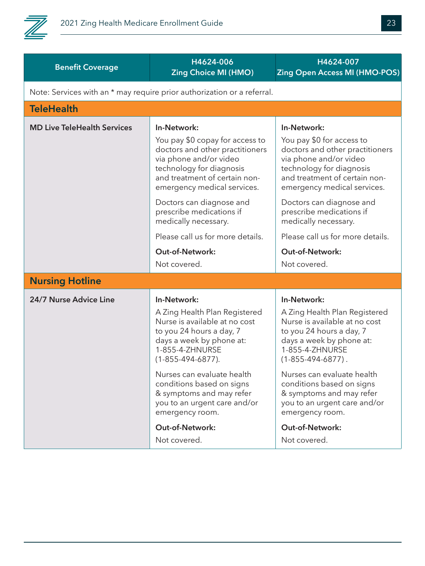

| <b>Benefit Coverage</b>            | H4624-006<br><b>Zing Choice MI (HMO)</b>                                                                                                                                                                                                                                                                                                                   | H4624-007<br><b>Zing Open Access MI (HMO-POS)</b>                                                                                                                                                                                                                                                                                                          |
|------------------------------------|------------------------------------------------------------------------------------------------------------------------------------------------------------------------------------------------------------------------------------------------------------------------------------------------------------------------------------------------------------|------------------------------------------------------------------------------------------------------------------------------------------------------------------------------------------------------------------------------------------------------------------------------------------------------------------------------------------------------------|
|                                    | Note: Services with an * may require prior authorization or a referral.                                                                                                                                                                                                                                                                                    |                                                                                                                                                                                                                                                                                                                                                            |
| <b>TeleHealth</b>                  |                                                                                                                                                                                                                                                                                                                                                            |                                                                                                                                                                                                                                                                                                                                                            |
| <b>MD Live TeleHealth Services</b> | In-Network:                                                                                                                                                                                                                                                                                                                                                | In-Network:                                                                                                                                                                                                                                                                                                                                                |
|                                    | You pay \$0 copay for access to<br>doctors and other practitioners<br>via phone and/or video<br>technology for diagnosis<br>and treatment of certain non-<br>emergency medical services.                                                                                                                                                                   | You pay \$0 for access to<br>doctors and other practitioners<br>via phone and/or video<br>technology for diagnosis<br>and treatment of certain non-<br>emergency medical services.                                                                                                                                                                         |
|                                    | Doctors can diagnose and<br>prescribe medications if<br>medically necessary.                                                                                                                                                                                                                                                                               | Doctors can diagnose and<br>prescribe medications if<br>medically necessary.                                                                                                                                                                                                                                                                               |
|                                    | Please call us for more details.                                                                                                                                                                                                                                                                                                                           | Please call us for more details.                                                                                                                                                                                                                                                                                                                           |
|                                    | <b>Out-of-Network:</b>                                                                                                                                                                                                                                                                                                                                     | <b>Out-of-Network:</b>                                                                                                                                                                                                                                                                                                                                     |
|                                    | Not covered.                                                                                                                                                                                                                                                                                                                                               | Not covered.                                                                                                                                                                                                                                                                                                                                               |
| <b>Nursing Hotline</b>             |                                                                                                                                                                                                                                                                                                                                                            |                                                                                                                                                                                                                                                                                                                                                            |
| 24/7 Nurse Advice Line             | In-Network:<br>A Zing Health Plan Registered<br>Nurse is available at no cost<br>to you 24 hours a day, 7<br>days a week by phone at:<br>1-855-4-ZHNURSE<br>$(1 - 855 - 494 - 6877)$ .<br>Nurses can evaluate health<br>conditions based on signs<br>& symptoms and may refer<br>you to an urgent care and/or<br>emergency room.<br><b>Out-of-Network:</b> | In-Network:<br>A Zing Health Plan Registered<br>Nurse is available at no cost<br>to you 24 hours a day, 7<br>days a week by phone at:<br>1-855-4-ZHNURSE<br>$(1 - 855 - 494 - 6877)$ .<br>Nurses can evaluate health<br>conditions based on signs<br>& symptoms and may refer<br>you to an urgent care and/or<br>emergency room.<br><b>Out-of-Network:</b> |
|                                    | Not covered.                                                                                                                                                                                                                                                                                                                                               | Not covered.                                                                                                                                                                                                                                                                                                                                               |